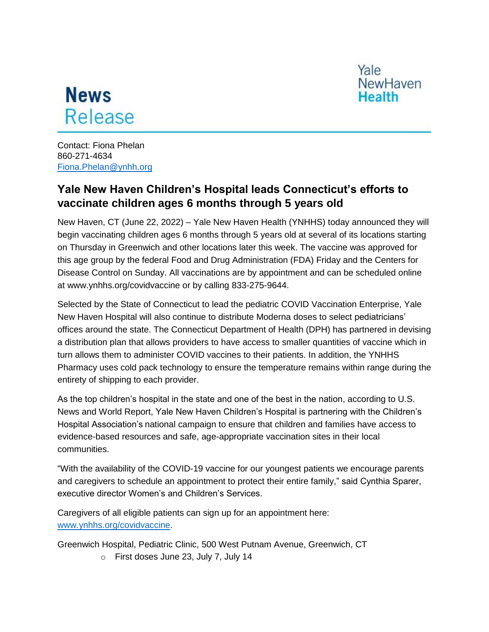Yale **NewHaven Health** 

## **News** Release

Contact: Fiona Phelan 860-271-4634 [Fiona.Phelan@ynhh.org](mailto:Fiona.Phelan@ynhh.org)

## **Yale New Haven Children's Hospital leads Connecticut's efforts to vaccinate children ages 6 months through 5 years old**

New Haven, CT (June 22, 2022) – Yale New Haven Health (YNHHS) today announced they will begin vaccinating children ages 6 months through 5 years old at several of its locations starting on Thursday in Greenwich and other locations later this week. The vaccine was approved for this age group by the federal Food and Drug Administration (FDA) Friday and the Centers for Disease Control on Sunday. All vaccinations are by appointment and can be scheduled online at www.ynhhs.org/covidvaccine or by calling 833-275-9644.

Selected by the State of Connecticut to lead the pediatric COVID Vaccination Enterprise, Yale New Haven Hospital will also continue to distribute Moderna doses to select pediatricians' offices around the state. The Connecticut Department of Health (DPH) has partnered in devising a distribution plan that allows providers to have access to smaller quantities of vaccine which in turn allows them to administer COVID vaccines to their patients. In addition, the YNHHS Pharmacy uses cold pack technology to ensure the temperature remains within range during the entirety of shipping to each provider.

As the top children's hospital in the state and one of the best in the nation, according to U.S. News and World Report, Yale New Haven Children's Hospital is partnering with the Children's Hospital Association's national campaign to ensure that children and families have access to evidence-based resources and safe, age-appropriate vaccination sites in their local communities.

"With the availability of the COVID-19 vaccine for our youngest patients we encourage parents and caregivers to schedule an appointment to protect their entire family," said Cynthia Sparer, executive director Women's and Children's Services.

Caregivers of all eligible patients can sign up for an appointment here: [www.ynhhs.org/covidvaccine.](http://www.ynhhs.org/covidvaccine)

Greenwich Hospital, Pediatric Clinic, 500 West Putnam Avenue, Greenwich, CT

o First doses June 23, July 7, July 14